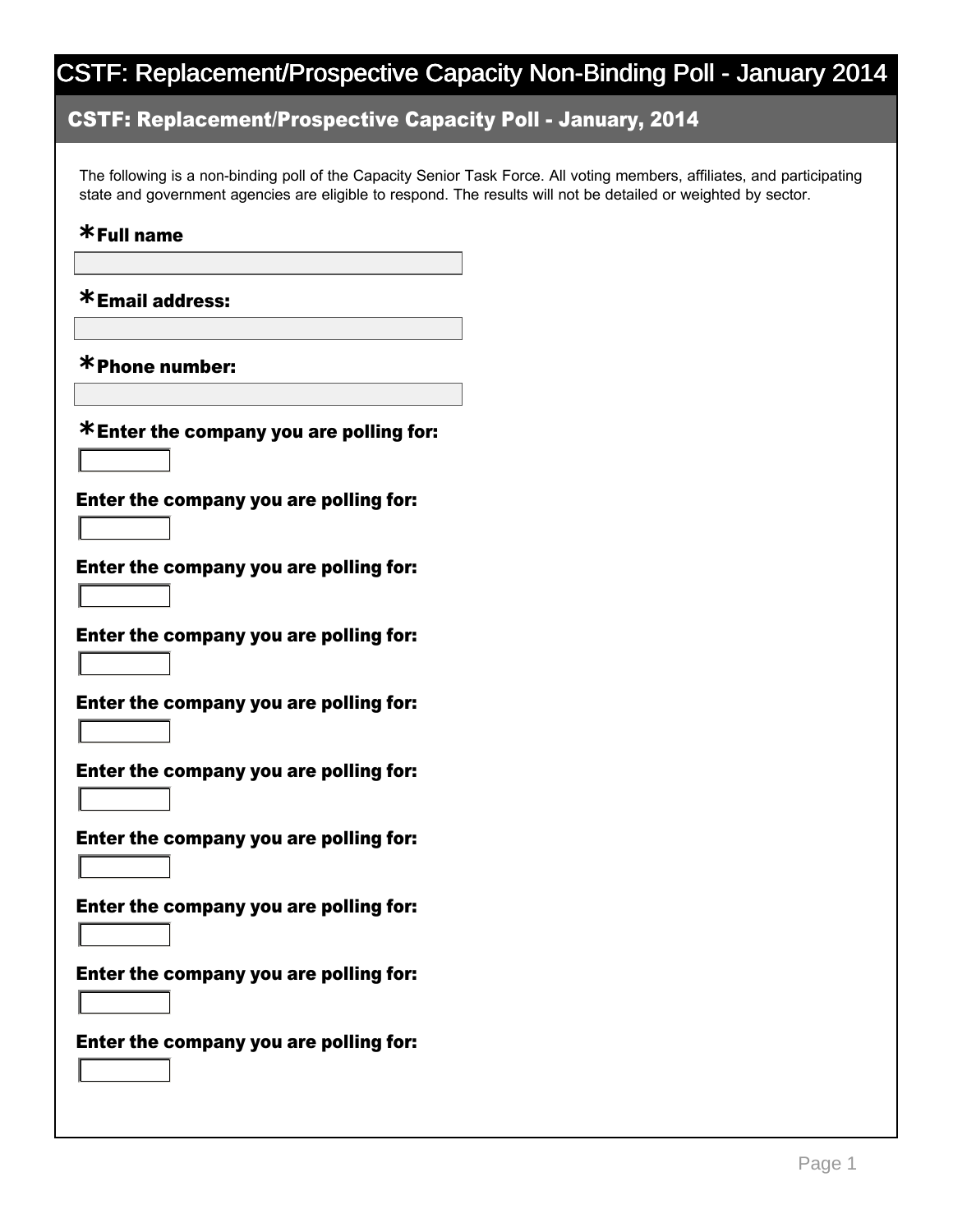### CSTF: Replacement/Prospective Capacity Poll January, 2014

The following is a non-binding poll of the Capacity Senior Task Force. All voting members, affiliates, and participating state and government agencies are eligible to respond. The results will not be detailed or weighted by sector.

## Full name **\***

Email address: **\***

Phone number: **\***

6

6

6

6

6

6

6

6

6

Enter the company you are polling for: **\***

Enter the company you are polling for:

Enter the company you are polling for:

Enter the company you are polling for:

Enter the company you are polling for:

Enter the company you are polling for:

Enter the company you are polling for:

Enter the company you are polling for:

Enter the company you are polling for:

Enter the company you are polling for: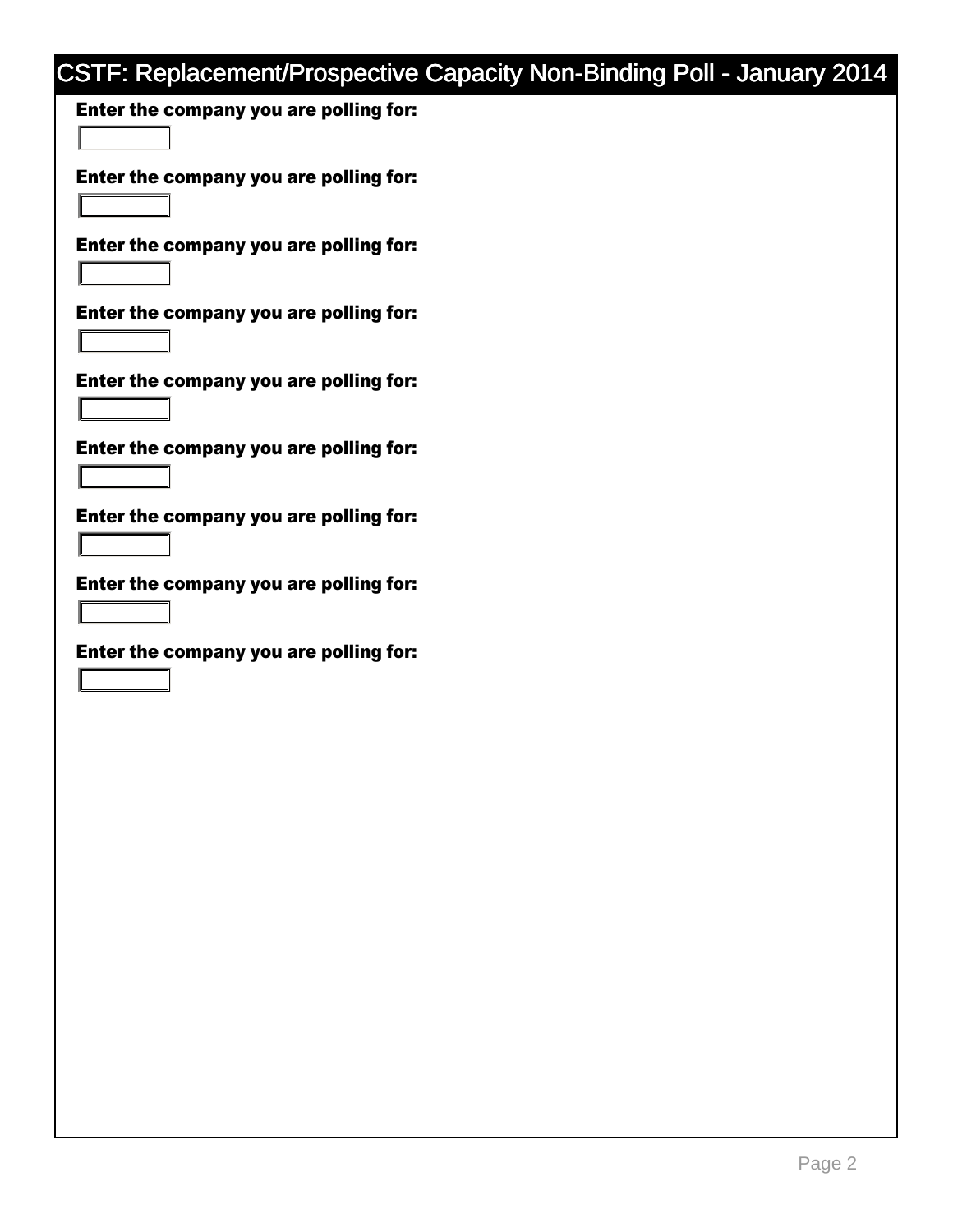Enter the company you are polling for:

Enter the company you are polling for: 6

Enter the company you are polling for:

Enter the company you are polling for:

Enter the company you are polling for:

6

6

6

6

6

6

6

Enter the company you are polling for:

Enter the company you are polling for:

Enter the company you are polling for:

Enter the company you are polling for: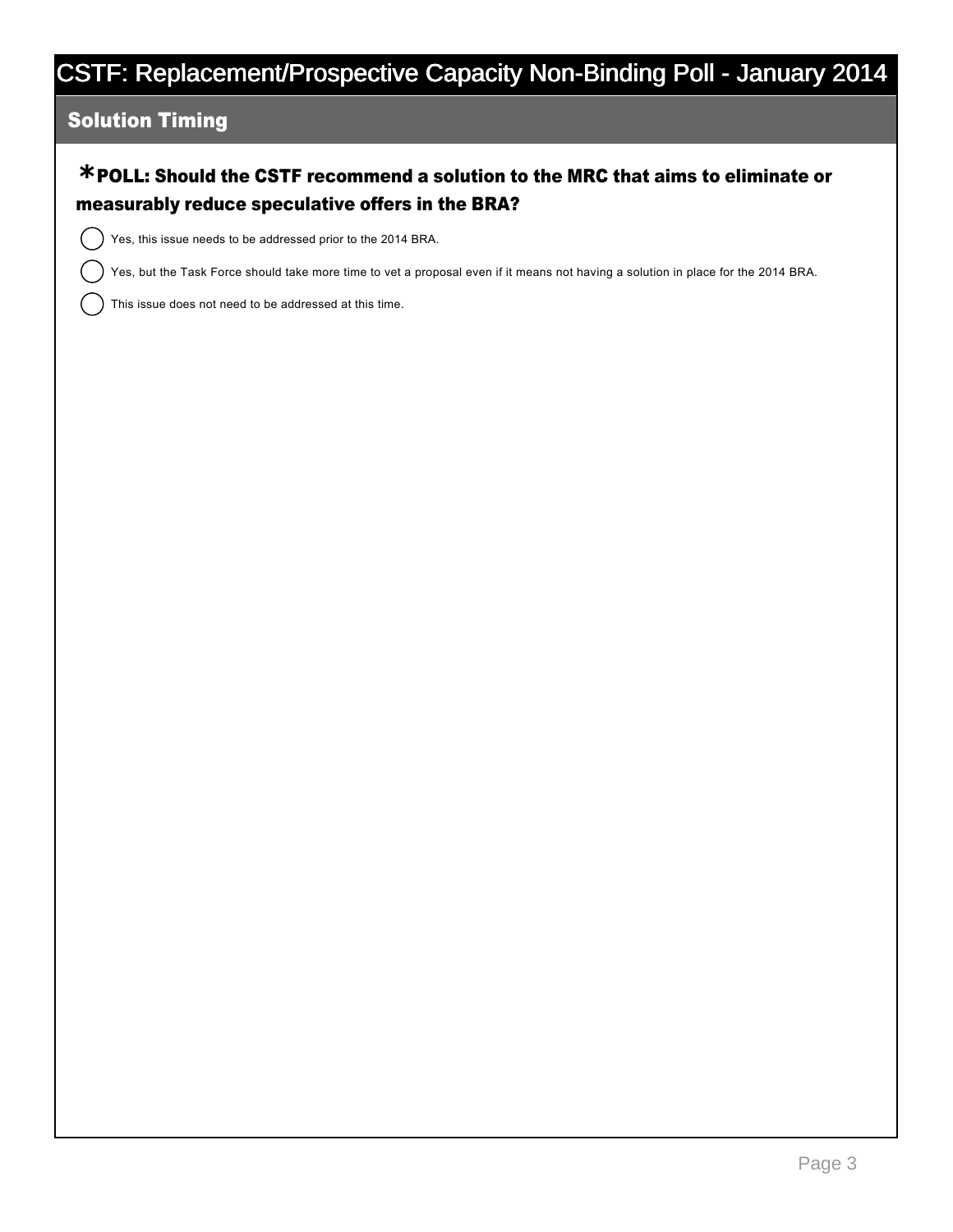#### Solution Timing

### POLL: Should the CSTF recommend a solution to the MRC that aims to eliminate or **\*** measurably reduce speculative offers in the BRA?

Yes, this issue needs to be addressed prior to the 2014 BRA.

Yes, but the Task Force should take more time to vet a proposal even if it means not having a solution in place for the 2014 BRA.

This issue does not need to be addressed at this time.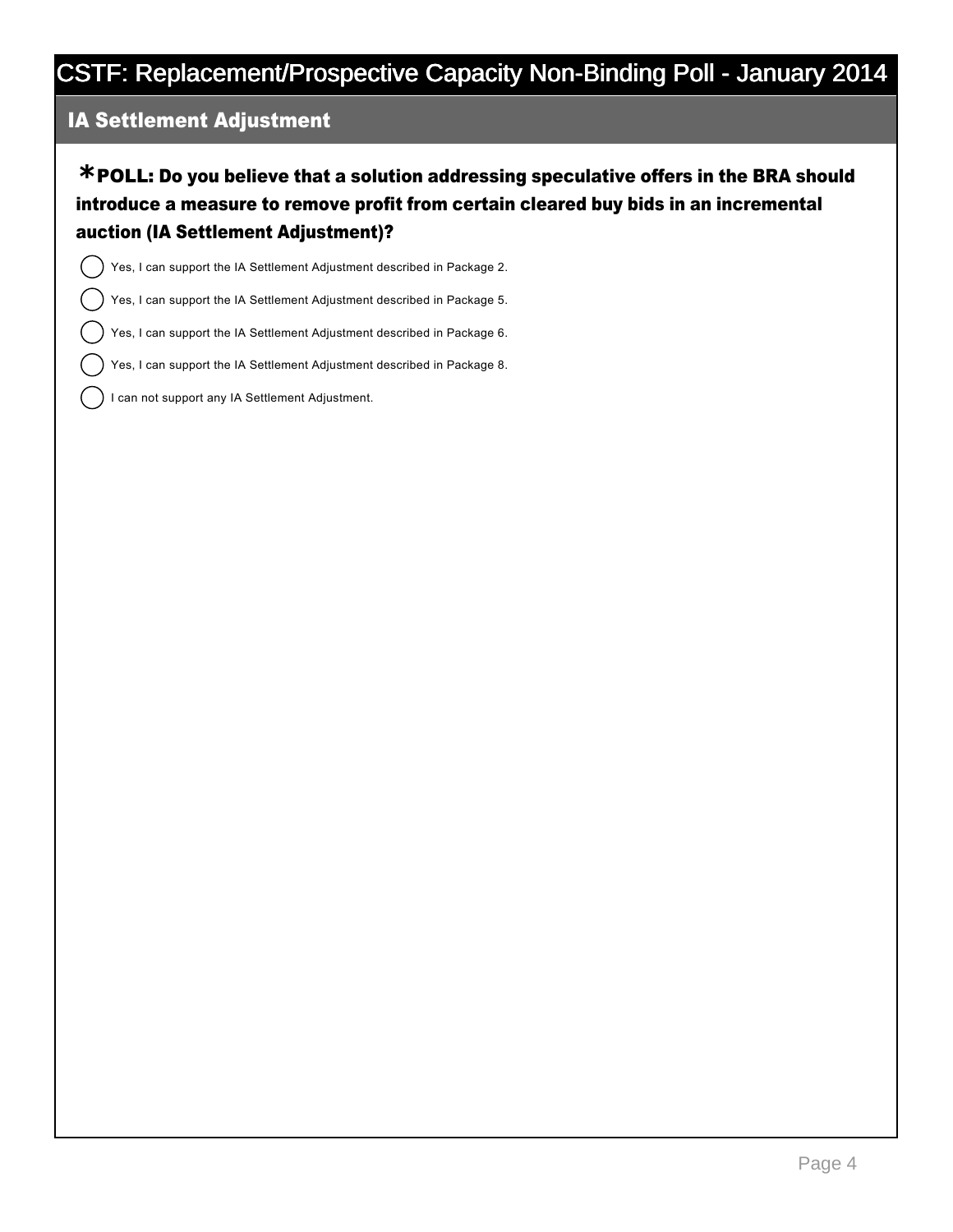#### IA Settlement Adjustment

POLL: Do you believe that a solution addressing speculative offers in the BRA should **\*** introduce a measure to remove profit from certain cleared buy bids in an incremental auction (IA Settlement Adjustment)?

Yes, I can support the IA Settlement Adjustment described in Package 2.

Yes, I can support the IA Settlement Adjustment described in Package 5.

Yes, I can support the IA Settlement Adjustment described in Package 6.

Yes, I can support the IA Settlement Adjustment described in Package 8.

I can not support any IA Settlement Adjustment.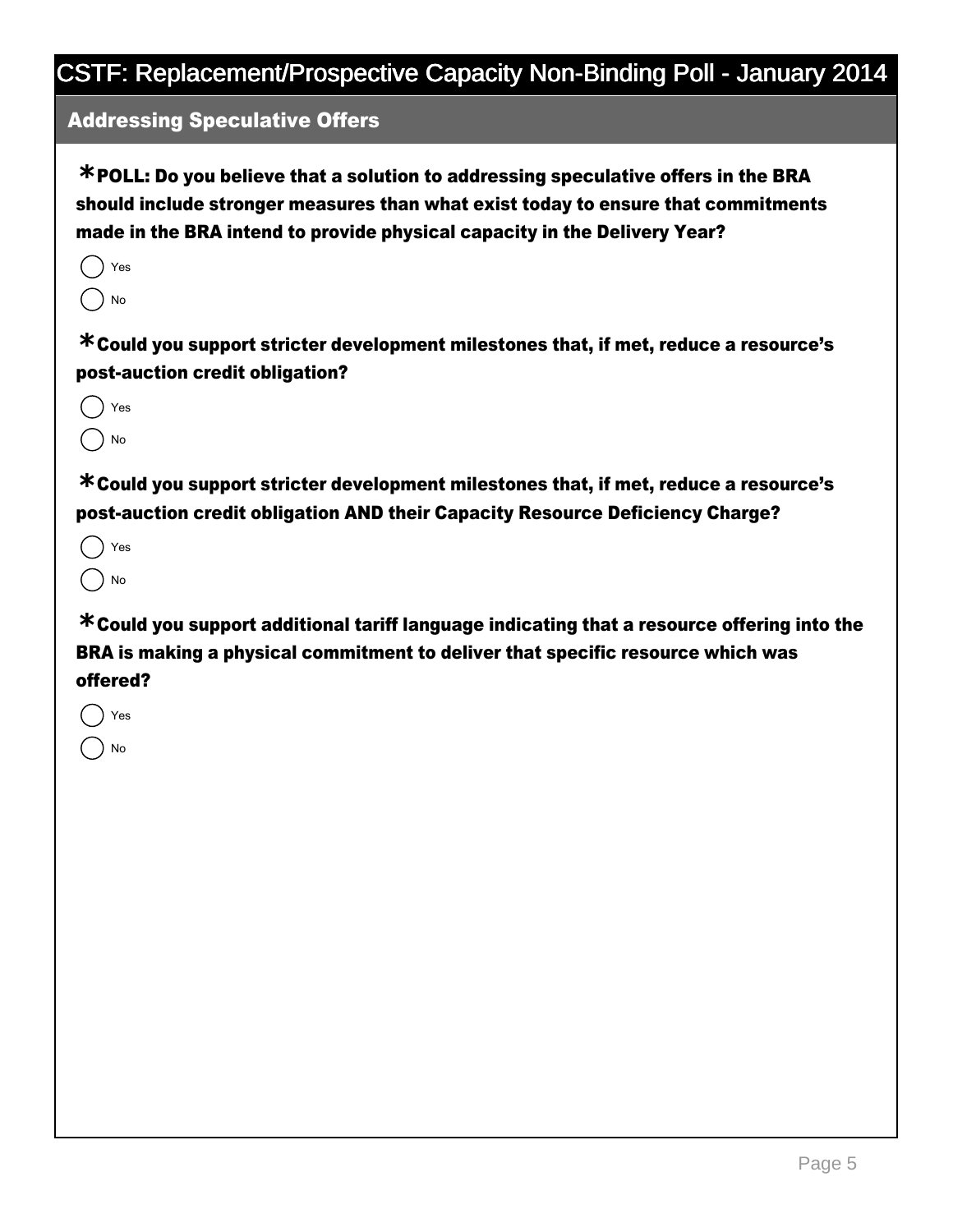### Addressing Speculative Offers

POLL: Do you believe that a solution to addressing speculative offers in the BRA **\*** should include stronger measures than what exist today to ensure that commitments made in the BRA intend to provide physical capacity in the Delivery Year?

| √es |
|-----|
| No  |

Could you support stricter development milestones that, if met, reduce a resource's **\*** post-auction credit obligation?



Could you support stricter development milestones that, if met, reduce a resource's **\*** post-auction credit obligation AND their Capacity Resource Deficiency Charge?

Yes No.

Could you support additional tariff language indicating that a resource offering into the **\*** BRA is making a physical commitment to deliver that specific resource which was offered?

Yes No.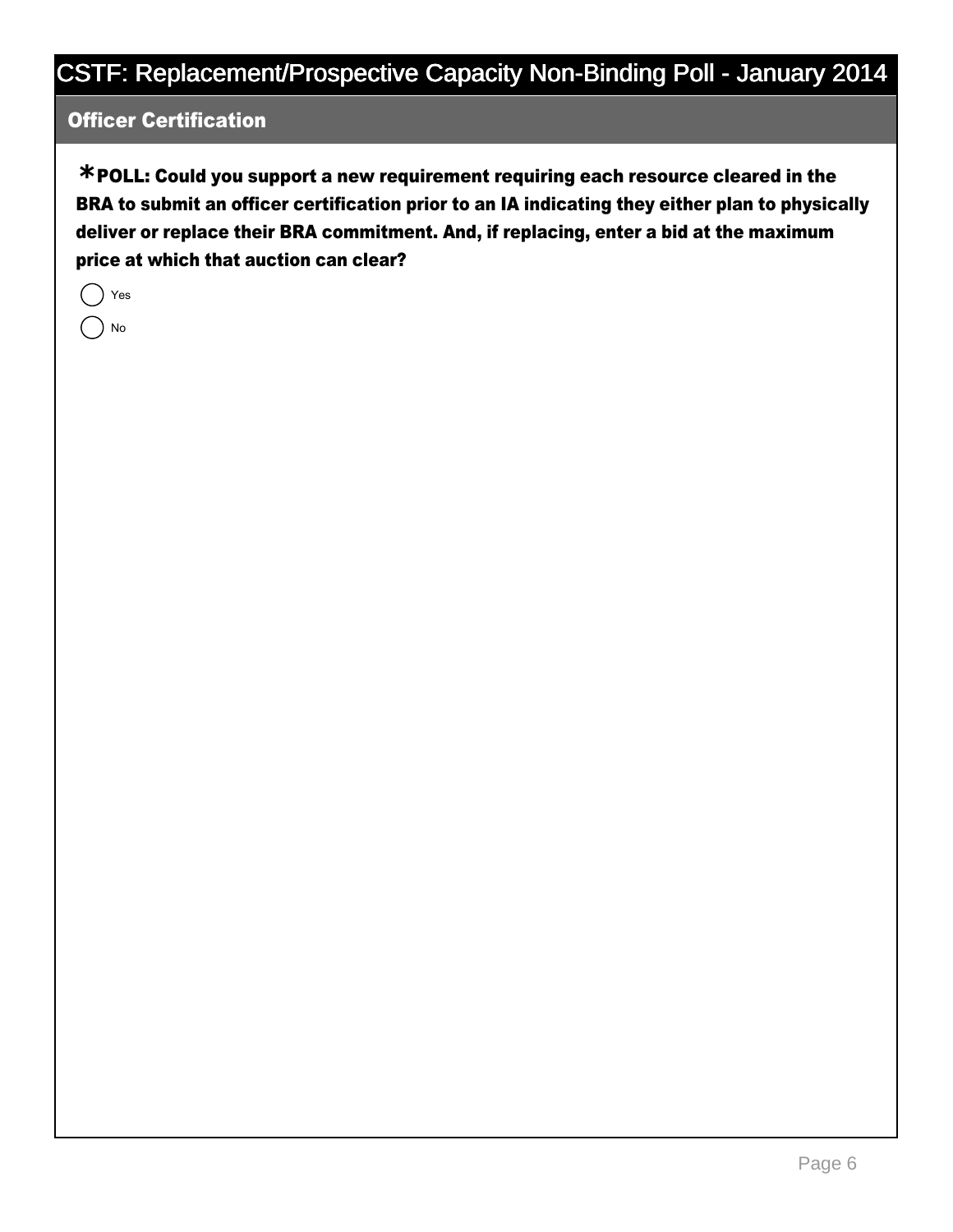#### Officer Certification

POLL: Could you support a new requirement requiring each resource cleared in the **\*** BRA to submit an officer certification prior to an IA indicating they either plan to physically deliver or replace their BRA commitment. And, if replacing, enter a bid at the maximum price at which that auction can clear?

|  | 'es |
|--|-----|
|  | No  |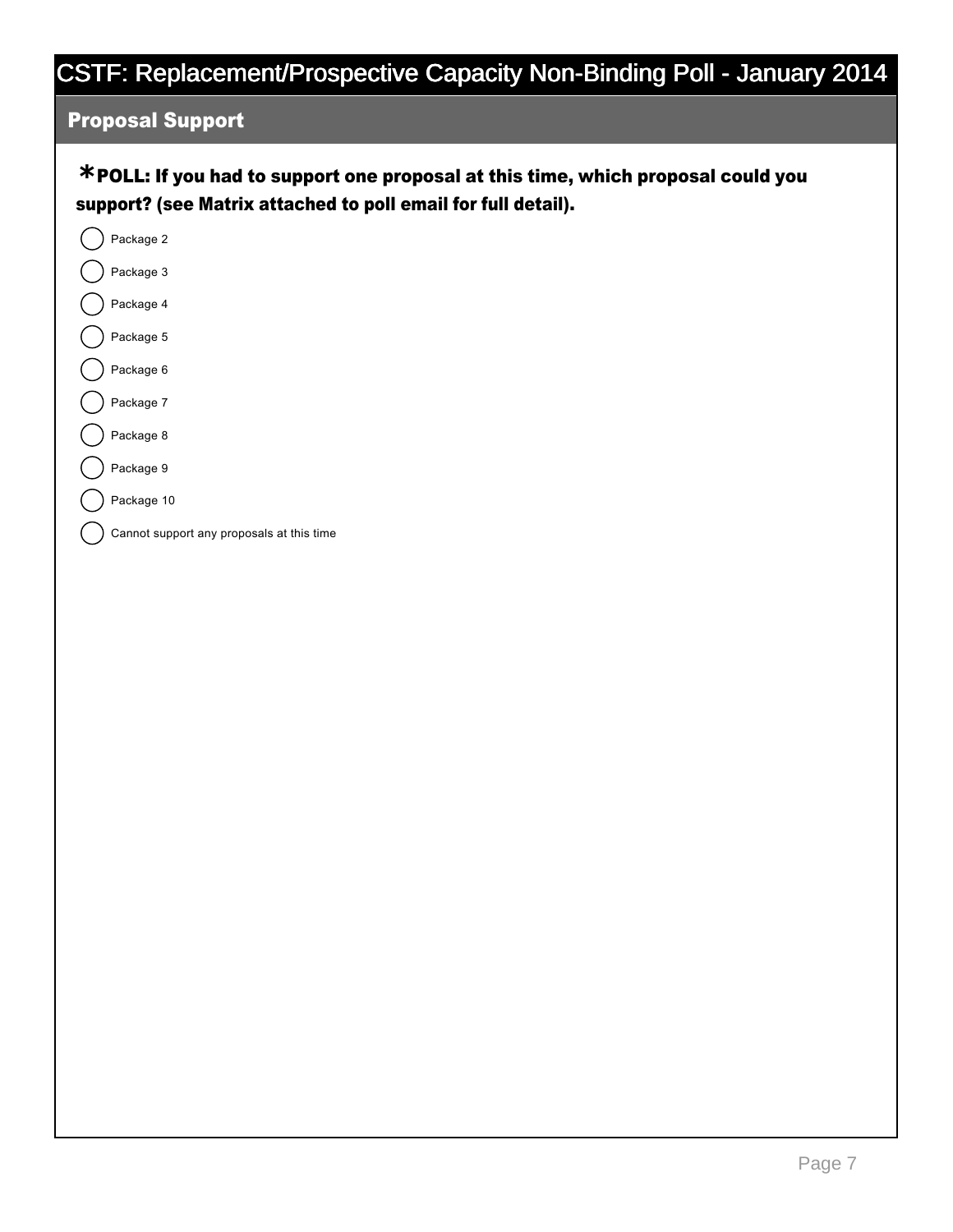### Proposal Support

### POLL: If you had to support one proposal at this time, which proposal could you **\*** support? (see Matrix attached to poll email for full detail).



Page 7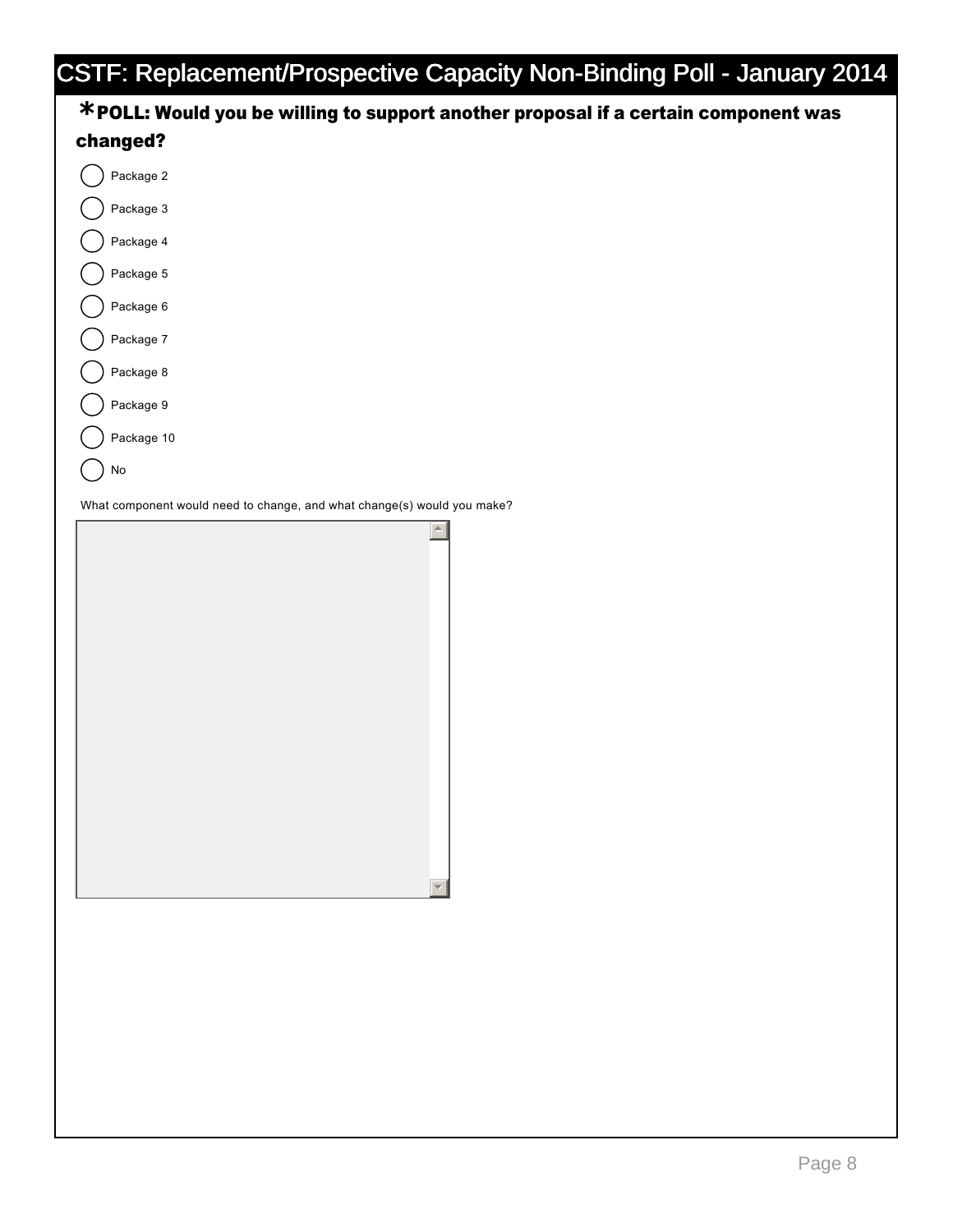| $\ldots$<br>- 91<br><b>COLLEGE</b><br>$\sim$ 11                                    | $-221$<br>27 |
|------------------------------------------------------------------------------------|--------------|
| *POLL: Would you be willing to support another proposal if a certain component was |              |
| changed?                                                                           |              |
| Package 2                                                                          |              |
| Package 3                                                                          |              |
| Package 4                                                                          |              |
| Package 5                                                                          |              |
| Package 6                                                                          |              |
| Package 7                                                                          |              |
| Package 8                                                                          |              |
| Package 9                                                                          |              |
| Package 10                                                                         |              |
| No                                                                                 |              |
| What component would need to change, and what change(s) would you make?            |              |
|                                                                                    |              |

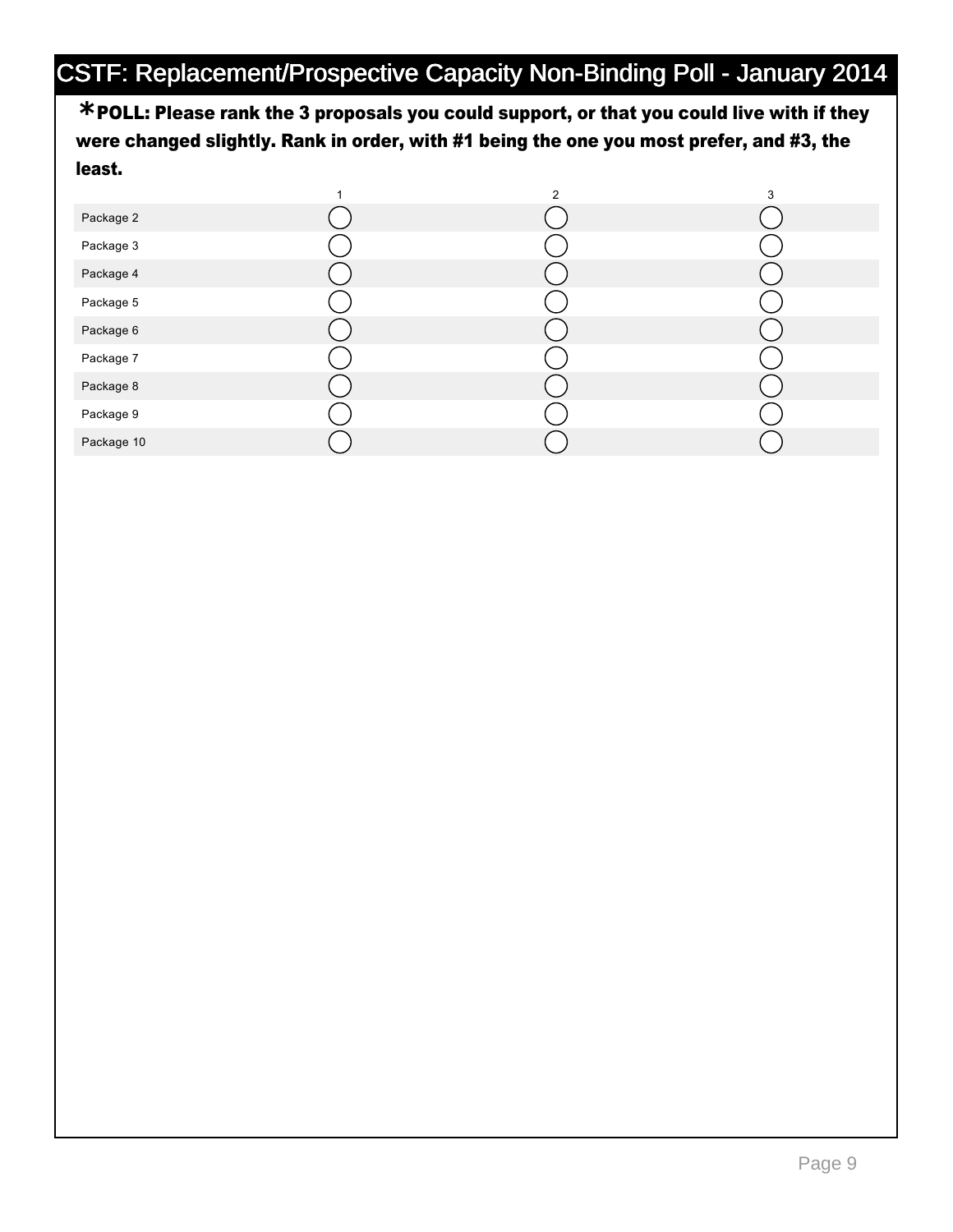POLL: Please rank the 3 proposals you could support, or that you could live with if they **\*** were changed slightly. Rank in order, with #1 being the one you most prefer, and #3, the least.

|            | $\overline{2}$ | 3 |
|------------|----------------|---|
| Package 2  |                |   |
| Package 3  |                |   |
| Package 4  |                |   |
| Package 5  |                |   |
| Package 6  |                |   |
| Package 7  |                |   |
| Package 8  |                |   |
| Package 9  |                |   |
| Package 10 |                |   |